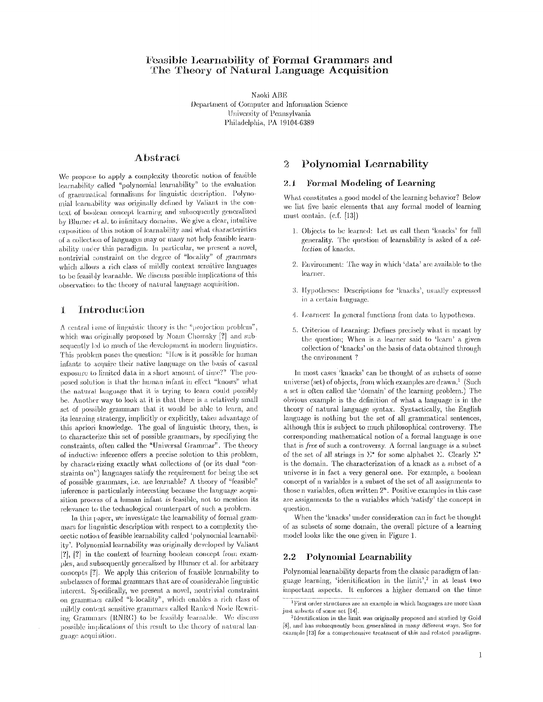# Feasible Learnability of Formal Grammars and The Theory of Natural Language Acquisition

Naoki ABE Department of Computer and Information Science University of Pennsylvania Philadelphia, PA 19104-6389

# **Abstract**

We propose to apply a complexity theoretic notion of feasible learnability called "polynomial learnability" to the evaluation of grammatical formalisms for linguistic description. Polynomial learnability was originally defined by Valiant in the context of boolean concept learning and subsequently generalized by Blumer et al. to infinitary domains. We give a clear, intuitive exposition of this notion of learnability and what characteristics of a collection of languages may or many not help feasible learnability under this paradigm. In particular, we present a novel, nontrivial constraint on the degree of "locality" of grammars which allows a rich class of mildly context sensitive languages to be feasibly learnable. We discuss possible implications of this observation to the theory of natural language acquisition.

#### Introduction T

A central issue of linguistic theory is the "projection problem", which was originally proposed by Noam Chomsky [?] and subsequently led to much of the development in modern linguistics. This problem poses the question: "How is it possible for human infants to acquire their native language on the basis of casual exposure to limited data in a short amount of time?" The proposed solution is that the human infant in effect "knows" what the natural language that it is trying to learn could possibly be. Another way to look at it is that there is a relatively small set of possible grammars that it would be able to learn, and its learning stratergy, implicitly or explicitly, takes advantage of this apriori knowledge. The goal of linguistic theory, then, is to characterize this set of possible grammars, by specifiying the constraints, often called the "Universal Grammar". The theory of inductive inference offers a precise solution to this problem, by characterizing exactly what collections of (or its dual "constraints on") languages satisfy the requirement for being the set of possible grammars, i.e. are learnable? A theory of "feasible" inference is particularly interesting because the language acquisition process of a human infant is feasible, not to mention its relevance to the technological counterpart of such a problem.

In this paper, we investigate the learnability of formal grammars for linguistic description with respect to a complexity theoretic notion of feasible learnability called 'polynomial learnability'. Polynomial learnability was originally developed by Valiant  $[?]$ ,  $[?]$  in the context of learning boolean concept from examples, and subsequently generalized by Blumer et al. for arbitrary concepts [?]. We apply this criterion of feasible learnability to subclasses of formal grammars that are of considerable linguistic interest. Specifically, we present a novel, nontrivial constraint on grammacs called "k-locality", which enables a rich class of mildly context sensitive grammars called Ranked Node Rewriting Grammars (RNRG) to be feasibly learnable. We discuss possible implications of this result to the theory of natural language acquisition.

#### Polynomial Learnability  $\overline{2}$

#### Formal Modeling of Learning  $2.1$

What constitutes a good model of the learning behavior? Below we list five basic elements that any formal model of learning must contain.  $(c.f. [13])$ 

- 1. Objects to be learned: Let us call them 'knacks' for full generality. The question of learnability is asked of a collection of knacks.
- 2. Environment: The way in which 'data' are available to the learner.
- 3. Hypotheses: Descriptions for 'knacks', usually expressed in a certain language.
- 4. Learners: In general functions from data to hypotheses.
- 5. Criterion of Learning: Defines precisely what is meant by the question; When is a learner said to 'learn' a given collection of 'knacks' on the basis of data obtained through the environment?

In most cases 'knacks' can be thought of as subsets of some universe (set) of objects, from which examples are drawn.<sup>1</sup> (Such a set is often called the 'domain' of the learning problem.) The obvious example is the definition of what a language is in the theory of natural language syntax. Syntactically, the English language is nothing but the set of all grammatical sentences, although this is subject to much philosophical controversy. The corresponding mathematical notion of a formal language is one that is free of such a controversy. A formal language is a subset of the set of all strings in  $\Sigma^*$  for some alphabet  $\Sigma$ . Clearly  $\Sigma^*$ is the domain. The characterization of a knack as a subset of a universe is in fact a very general one. For example, a boolean concept of n variables is a subset of the set of all assignments to those n variables, often written  $2<sup>n</sup>$ . Positive examples in this case are assignments to the n variables which 'satisfy' the concept in question.

When the 'knacks' under consideration can in fact be thought of as subsets of some domain, the overall picture of a learning model looks like the one given in Figure 1.

### 2.2 Polynomial Learnability

Polynomial learnability departs from the classic paradigm of language learning, 'idenitification in the limit',<sup>2</sup> in at least two important aspects. It enforces a higher demand on the time

 ${}^{1}\mathrm{First}$  order structures are an example in which languages are more than just subsets of some set [14].

<sup>&</sup>lt;sup>2</sup>Identification in the limit was originally proposed and studied by Gold [8], and has subsequently been generalized in many different ways. See for example [13] for a comprehensive treatment of this and related paradigms.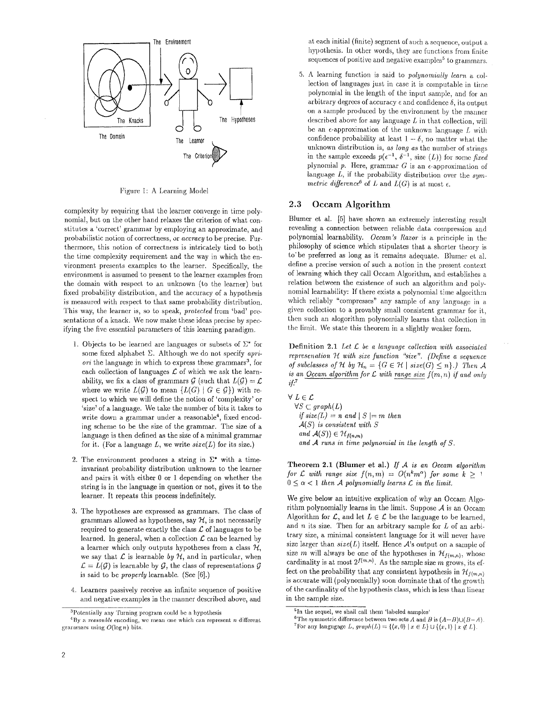

Figure 1: A Learning Model

complexity by requiring that the learner converge in time polynomial, but on the other hand relaxes the criterion of what constitutes a 'correct' grammar by employing an approximate, and probabilistic notion of correctness, or *aecraey* to be'precise. Furthermore, this notion of correctness is intricately tied to both the time complexity requirement and the way in which the environment presents examples to the learner, Specifically, the environment is assumed to present to the learner examples from the domain with respect to an unknown (to the learner) but fixed probability distribution, and the accuracy of a hypothesis is measured with respect to that same probability distribution. This way, the learner is, so to speak, *protected* from 'bad' presentations of a knack. We now make these ideas precise by specifying the five essential parameters of this learning paradigm.

- 1. Objects to be learned are languages or subsets of  $\Sigma^*$  for some fixed alphabet E. Although we do not specify *apriori* the language in which to express these grammars<sup>3</sup>, for each collection of languages  $\mathcal L$  of which we ask the learnability, we fix a class of grammars  $G$  (such that  $L(G) = \mathcal{L}$ where we write  $L(G)$  to mean  $\{L(G) | G \in \mathcal{G}\}\$  with respect to which we will define the notion of 'complexity' or 'size' of a language. We take the number of bits it takes to write down a grammar under a reasonable<sup>4</sup>, fixed encoding scheme to be the size of the grammar. The size of a language is then defined as the size of a minimal grammar for it. (For a language  $L$ , we write  $size(L)$  for its size.)
- 2. The environment produces a string in  $\Sigma^*$  with a timeinvariant probability distribution unknown to the learner and pairs it with either 0 or 1 depending on whether the string is in the language in question or not, gives it to the learner. It repeats this process indefinitely.
- 3. The hypotheses axe expressed as grammars. The class of grammars allowed as hypotheses, say  $H$ , is not necessarily required to generate exactly the class  $\mathcal L$  of languages to be learned. In general, when a collection  $\mathcal L$  can be learned by a learner which only outputs hypotheses from a class  $H$ , we say that  $\mathcal L$  is learnable by  $\mathcal H$ , and in particular, when  $\mathcal{L} = L(\mathcal{G})$  is learnable by  $\mathcal{G}$ , the class of representations  $\mathcal{G}$ is said to be *properly* learnable. (See [6].)
- 4. Learners passively receive an infinite sequence of positive and negative examples in the manner described above, and

at each initial (finite) segment of such a sequence, output a hypothesis. In other words, they are functions from finite sequences of positive and negative examples<sup>5</sup> to grammars.

5. A learning function is said to *polynomially learn a* collection of languages just in case it is computable in time polynomial in the length of the input sample, and for an arbitrary degrees of accuracy  $\epsilon$  and confidence  $\delta$ , its output on a sample produced by the environment by the manner described above for any language  $L$  in that collection, will be an  $\epsilon$ -approximation of the unknown language  $L$  with confidence probability at least  $1 - \delta$ , no matter what the unknown distribution is, *as long as* the number of strings in the sample exceeds  $p(e^{-1}, \delta^{-1}, \text{size } (L))$  for some *fixed* plynomial p. Here, grammar G is an  $\epsilon$ -approximation of language L, if the probability distribution over the *symmetric difference*<sup>6</sup> of L and  $L(G)$  is at most  $\epsilon$ .

### **2.3 Occam Algorithm**

Blumer et al. [5] have shown an extremely interesting result revealing a connection between reliable data compression and polynomial learnability. *Occam's Razor* is a principle in the philosophy of science which stipulates that a shorter theory is to be preferred as long as it remains adequate. Blumer et al. define a precise version of such a notion in the present context of learning which they call Occam Algorithm, and establishes a relation between the existence of such an algorithm and polynomial learnability: If there exists a polynomial time algorithm which reliably "compresses" any sample of any language in a given collection to a provably small consistent grammar for it, then such an alogorithm polynomially learns that collection in the limit. We state this theorem in a slightly weaker form.

Definition 2.1 *Let £ be a language collection with associated represenation*  $H$  with size function "size". (Define a sequence *of subclasses of H by*  $H_n = \{G \in H \mid size(G) \leq n\}$ .) Then A *is an Occam algorithm for*  $L$  *with range size*  $f(m, n)$  *if and only if!* 

*VLE£*   $\forall S \subset graph(L)$ *if size*( $L$ ) = *n* and | *S* | = *m* then *A(S) is consistent with S and*  $\mathcal{A}(S)$ *)*  $\in \mathcal{H}_{f(n,m)}$ and A runs in time polynomial in the length of S.

**Theorem** 2.1 (Blumer et al.) *If A is an Occam algorithm for L* with range size  $f(n,m) = O(n^k m^{\alpha})$  for some  $k > 1$  $0 \leq \alpha < 1$  then A polynomially learns L in the limit.

We give below an intuitive explication of why an Oceam Algorithm polynomially learns in the limit. Suppose  $A$  is an Occam Algorithm for  $\mathcal{L}$ , and let  $L \in \mathcal{L}$  be the language to be learned, and  $n$  its size. Then for an arbitrary sample for  $L$  of an arbitrary size, a minimal consistent language for it will never have size larger than  $size(L)$  itself. Hence A's output on a sample of size m will always be one of the hypotheses in  $\mathcal{H}_{f(m,n)}$ , whose cardinality is at most  $2^{f(m,n)}$ . As the sample size m grows, its effect on the probability that any consistent hypothesis in  $\mathcal{H}_{f(m,n)}$ is accurate will (polynomially) soon dominate that of the growth of the eardinality of the hypothesis class, which is less than linear in the sample size.

<sup>&</sup>lt;sup>3</sup>Potentially any 'Turning program could be a hypothesis

 ${}^{4}$ By a *reasonble* encoding, we mean one which can represent n different. grammars using  $O(\log n)$  bits.

<sup>&</sup>lt;sup>5</sup>In the sequel, we shall call them 'labeled samples'

<sup>&</sup>lt;sup>6</sup>The symmetric difference between two sets A and B is  $(A-B)\cup (B-A)$ .

<sup>&</sup>lt;sup>7</sup> For any langugage *L*,  $graph(L) = \{(x, 0) | x \in L\} \cup \{(x, 1) | x \notin L\}.$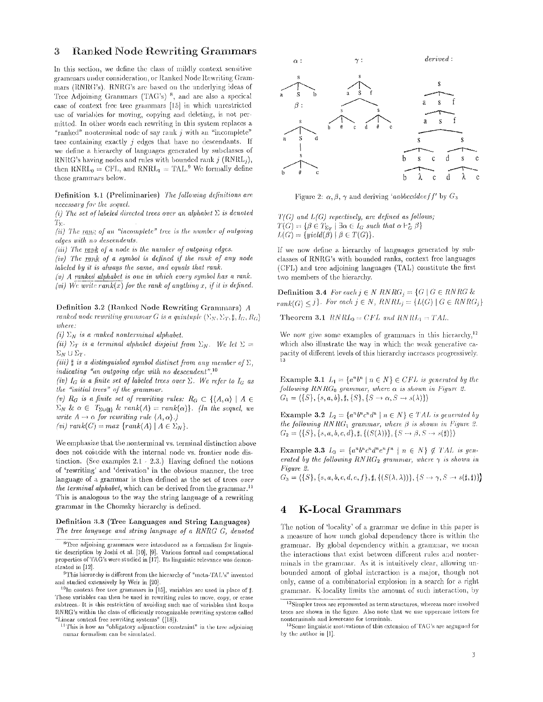## **3** Ranked Node Rewriting Grammars

In this section, we define the class of mildly context sensitive grammars under consideration, or Ranked Node Rewriting Grammars (RNR $G$ 's). RNR $G$ 's are based on the underlying ideas of Tree Adjoining Grammars  $(TAG's)^{-8}$ , and are also a specical case of context free tree grammars  $[15]$  in which unrestricted use of variables for moving, copying and deleting, is not permitted, in other words each rewriting in this system replaces a "ranked" nonterminal node of say rank  $j$  with an "incomplete" tree containing exactly  $j$  edges that have no descendants. If we define a hierarchy of languages generated by subclasses of RNRG's having nodes and rules with bounded rank  $j$  (RNRL<sub>i</sub>), then  $\text{RNRL}_0 = \text{CFL}$ , and  $\text{RNRL}_1 = \text{TAL}$ .<sup>9</sup> We formally define these grammars below.

Definition 3.1 (Preliminaries) *The following definitions are necessary for the sequel.* 

*(i) The set of labeled directed trees over an alphabet*  $\Sigma$  *is denoted*  $T_{\Sigma}$ .

*(ii) The rank of an "incomplete" tree is the number of outgoing edges with no descendents.* 

*(iii) The rank of a node is the number of outgoing edges.* 

*(iv)* The rank of a symbol is defined if the rank of any node *labeled by it is always the same, and equals that rank.* 

*(v) A ranked alphabet is one in which every symbol has a rank. (vi)* We write  $rank(x)$  for the rank of anything x, if it is defined.

Definition 3.2 (Ranked Node Rewriting Grammars) A *ranked node rewriting grammar G is a quintuple*  $\langle \Sigma_N, \Sigma_T, \sharp, I_G, R_G \rangle$ *where:* 

 $(i)$   $\Sigma_N$  *is a ranked nonterminal alphabet.* 

*(ii)*  $\Sigma_T$  *is a terminal alphabet disjoint from*  $\Sigma_N$ . We let  $\Sigma =$  $\Sigma_N \cup \Sigma_T$ .

*(iii)*  $\sharp$  *is a distinguished symbol distinct from any member of*  $\Sigma$ , indicating "an outgoing edge with no descendent".<sup>10</sup>

*(iv)*  $I_G$  *is a finite set of labeled trees over*  $\Sigma$ *. We refer to*  $I_G$  *as ~he "initial trees" of the grammar.* 

*(v)*  $R_G$  *is a finite set of rewriting rules:*  $R_G \subset \{(A, \alpha) \mid A \in$  $\Sigma_N$  &  $\alpha \in T_{\Sigma \cup \{\sharp\}}$  & rank $(A) = rank(\alpha)$ . (In the sequel, we *write*  $A \rightarrow \alpha$  *for rewriting rule*  $\langle A, \alpha \rangle$ *.*)  $(vi)$   $rank(C) = max \{rank(A) | A \in \Sigma_N\}.$ 

We emphasize that the nonterminal vs. terminal distinction above does not coincide with the internal node vs. frontier node distinction. (See examples  $2.1 - 2.3$ .) Having defined the notions of 'rewriting' and 'derivation' in the obvious manner, the tree language of a grammar is then defined as the set of trees over *the terminal alphabet,* which can be derived from the grammar.<sup>11</sup> This is analogous to the way the string language of a rewriting grammar in the Chomsky hierarchy is defined.

### Definition 3.3 (Tree Languages and String Languages) *The tree language and string language of a RNRG G, denoted*



Figure 2:  $\alpha$ ,  $\beta$ ,  $\gamma$  and deriving *'aabbccddeeff'* by  $G_3$ 

 $T(G)$  and  $L(G)$  repectively, are defined as follows;<br> $T(G) = \{ \beta \in T_{\Sigma r} \mid \exists \alpha \in I_G \text{ such that } \alpha \vdash_G^* \beta \}$  $L(G) = \{yield(\beta) \mid \beta \in T(G) \}.$ 

If we now define a hierarchy of languages generated by subclasses of RNRG's with bounded ranks, context free languages  $(CFL)$  and tree adjoining languages  $(TAL)$  constitute the first two members of the hierarchy.

Definition 3.4 For each  $j \in N \, RNRG_i = \{G \mid G \in RNRG \ \& \ \n\begin{bmatrix} G & \cdots & G \end{bmatrix} \}$  $rank(G) \leq j$ . For each  $j \in N$ ,  $RNRL_j = \{L(G) | G \in RNRG_j\}$ 

Theorem 3.1  $RNRL_0 = CFL$  and  $RNRL_1 = TAL$ .

We now give some examples of grammars in this hierarchy,  $12$ which also illustrate the way in which the weak generative capacity of different levels of this hierarchy increases progressively. 13

Example 3.1  $L_1 = \{a^n b^n \mid n \in N\} \in CFL$  is generated by the *following RNRG*<sup> $0$ </sup> grammar, where  $\alpha$  is shown in Figure 2.  $G_1 = \{\{S\}, \{s, a, b\}, \sharp, \{S\}, \{S \to \alpha, S \to s(\lambda)\}\}\$ 

Example 3.2  $L_2 = \{a^n b^n c^n d^n \mid n \in N\} \in TAL$  is generated by *the following*  $RNRG_1$  *grammar, where*  $\beta$  *is shown in Figure 2.*  $G_2 = \{\{S\}, \{s, a, b, c, d\}, \sharp, \{(S(\lambda))\}, \{S \to \beta, S \to s(\sharp)\}\}\$ 

Example 3.3  $L_3 = \{a^n b^n c^n d^n e^n f^n \mid n \in N\} \notin TAL$  is gen*erated by the following RNRG*<sub>2</sub> grammar, where  $\gamma$  is shown in *Figure 2.* 

 $G_3 = \{\{S\}, \{s, a, b, c, d, e, f\}, \sharp, \{(S(\lambda, \lambda))\}, \{S \rightarrow \gamma, S \rightarrow s(\sharp, \sharp)\}\}\$ 

# **4** K-Local Grammars

The notion of 'locality' of a grammar we define in this paper is a measure of how much global dependency there is within the grammar. By global dependency within a grammar, we mean the interactions that exist between different rules and nonterminals in the grammar. As it is intuitively clear, allowing unbounded amont of global interaction is a major, though not only, cause of a combinatorial explosion in a search for a right grammar. K-locality limits the amount of such interaction, by

 ${}^{8}$ Tree adjoining grammars were introduced as a formalism for linguistic description by Joshi et al. [10], [9]. Various formal and computational properties of TAG's were studied in [17]. Its linguistic relevance was demonstrated in [12].

<sup>&</sup>lt;sup>9</sup>This hierarchy is different from the hierarchy of "meta-TAL's" invented and studied extensively by Weir in [20].

<sup>&</sup>lt;sup>10</sup>In context free tree grammars in [15], variables are used in place of  $\sharp$ . These variables can then be used in rewriting rules to move, copy, or erase subtrees. It is this restriction of avoiding such use of variables that keeps RNRG's within the class of efficiently recognizable rewriting systems called "Linear context free rewriting systems" ([18]).

II'Phis is how an "obligatory adjunction constraint" in the tree adjoining nunar formalism can be simulated.

 $12$ Simpler trees are represented as term structures, whereas more involved trees are shown in the figure. Also note that we use uppercase letters for nonterminals and lowercase for terminals.

<sup>&</sup>lt;sup>13</sup>Some linguistic motivations of this extension of TAG's are argugued for by the author in [1].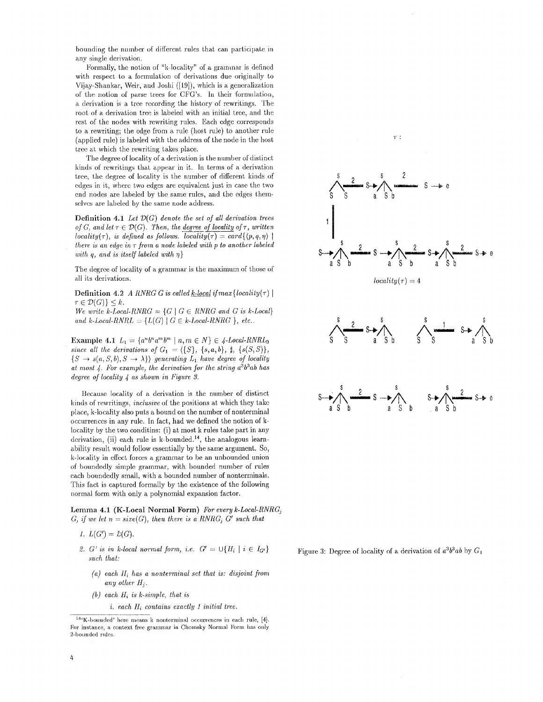bounding the number of different rules that can participate in any single derivation.

Pormally, the notion of "k-locality" of a grammar is defined with respect to a formulation of derivations due originally to Vijay-Shankar, Weir, and 3oshi ([[9]), which is a generalization of the notion of parse trees for CFO's. In their formulation, a derivation is a tree recording the history of rewritings. The root of a derivation tree is labeled with an initial tree, and the rest of the nodes with rewriting rules. Each edge corresponds to a rewriting; the edge from a rule (host rule) to auother rule (applied rule) is labeled with the address of the node in the host tree at which the rewriting takes place.

The degree of locality of a derivation is the number of distinct kinds of rewritings that appear in it. In terms of a derivation tree, the degree of locality is the number of different kinds of edges in it, where two edges are equivalent just in ease the two end nodes are labeled by the same rules, and the edges themselves are labeled by the same node address.

Definition 4.1 *Let 7)(G) denote the set of all derivation trees of G, and let*  $\tau \in \mathcal{D}(G)$ *. Then, the degree of locality of*  $\tau$ *, written locality*( $\tau$ ), *is defined as follows, locality*( $\tau$ ) = card{ $\langle p, q, \eta \rangle$  | *there is an* edge *in r from a node labeled with p to another labeled with q, and is itself labeled with 77}* 

The degree of locality of a grammar is the maximum of those of all its derivations.

Definition 4.2 *A RNRG G is called <u>k-local</u> if max {locality(* $\tau$ *)* |  $\tau \in \mathcal{D}(G) \} \leq k.$ 

*We write k-Local-RNRG*  $= \{G \mid G \in RNRG \text{ and } G \text{ is } k\text{-Local}\}$ *and k-Local-RNRL* =  ${L(G) | G \in k\textrm{-}Local-RNRG}, etc..$ 

Example 4.1  $L_1 = \{a^n b^n a^m b^m \mid n, m \in N\} \in \{4 \text{-Local-RNRL}_0\}$ *since all the derivations of*  $G_1 = \{ \{ S \}, \{ s, a, b \}, \, \sharp, \{ s(S, S) \}, \}$  $\{S \rightarrow s(a, S, b), S \rightarrow \lambda\}$  generating  $L_1$  have degree of locality *at most 4. l,br example, the derivation for the string a3b3ab has degree of locality 4 as shown in Figure 8.* 

Because locality of a derivation is the number of distinct kinds of rewritings, *inclusive* of the positions at which they takc place, k-locality also puts a bound on the number of nonterminal occurrences in any rule. In fact, had we defined the notion of klocality by the two conditins: (i) at most k rules take part in any derivation, (ii) each rule is  $k$ -bounded.<sup>14</sup>, the analogous learnability result would follow essentially by the same argument. So, k-locality in effect forces a grammar to be an unbounded union of boundedly simple grammar, with bounded number of rules each boundedly small, with a bounded number of nonterminals. This fact is captured formally by the existence of the following normal form with only a polynomial expansion factor.

Lemma 4.1 (K-Local Normal Form) *For every k-Local-RNRG*<sub>i</sub> *G, if we let*  $n = size(G)$ *, then there is a RNRG<sub>i</sub> G' such that* 

- $L(G') = E(G).$
- 2. *G'* is in k-local normal form, i.e.  $G' = \bigcup \{H_i \mid i \in I_{G'}\}$ *such that:* 
	- *(a) each lIi has a nonterminal set that is: disjoint from any other*  $H_i$ .
	- $(b)$  each  $H_i$  is k-simple, that is
		- *i. each Ili contains exactly i initial tree.*



Figure 3: Degree of locality of a derivation of *a3b3ab* by G1

 $14$ <sup>4</sup>K-bounded' here means k nonterminal occurrences in each rule, [4]. For instance, a context free grammar in Chomsky Normal Form has only 2-bounded rules.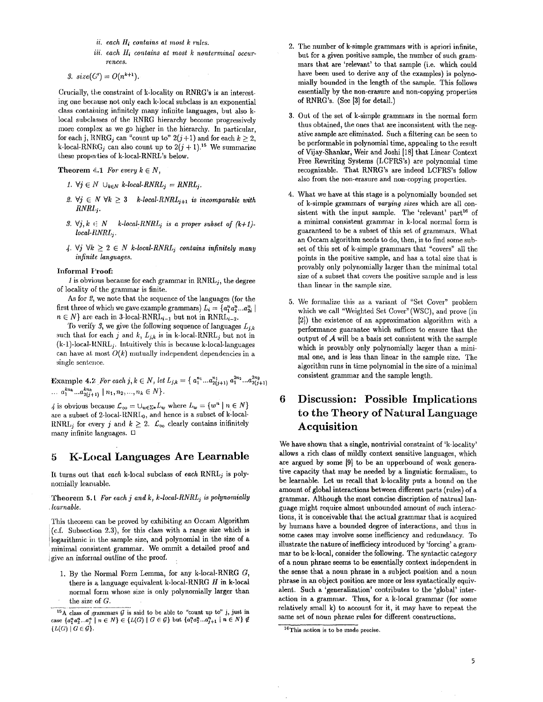- *if. each Hi contains at most k rules.*
- *iii. each IIi contains at most k nonterminal occurrences.*

3.  $size(G') = O(n^{k+1}).$ 

Crucially, the constraint of k-locality on RNRG's is an interesting one because not only each k-local subclass is an exponential class containing infinitely many infinite languages, but also klocal subclasses of the RNRG hierarchy become progressively more complex as we go higher in the hierarchy. In particular, for each j, RNRG<sub>i</sub> can "count up to"  $2(j+1)$  and for each  $k \ge 2$ , k-local-RNRG<sub>i</sub> can also count up to  $2(j + 1)^{15}$  We summarize these properties of k-loeal-RNRL's below.

Theorem 4.1 For every  $k \in N$ ,

- *1.*  $\forall j \in \mathbb{N}$   $\cup_{k \in \mathbb{N}}$  *k*-local-RNRL<sub>j</sub> = RNRL<sub>j</sub>.
- 2.  $\forall j \in N \ \forall k \geq 3$  k-local-RNRL<sub>j+1</sub> is incomparable with  $RNRL$ <sub>i</sub>.
- 3.  $\forall j, k \in N$  *k-local-RNRL<sub>j</sub> is a proper subset of*  $(k+1)$  $local-RNRL$ <sub>i</sub>.
- 4. V<sub>j</sub>  $\forall k \geq 2 \in N$  k-local-RNRL<sub>j</sub> contains infinitely many *infinite languages.*

#### Informal Froof:

 $1$  is obvious because for each grammar in  $RNRL<sub>i</sub>$ , the degree of locality of the grammar is finite.

As for 2, we note that the sequence of the languages (for the first three of which we gave example grammars)  $L_i = \{a_1^n a_2^n ... a_{2i}^n\}$  $n \in N$ } are each in 3-local-RNRL<sub>i-1</sub> but not in RNRL<sub>i-2</sub>.

To verify 3, we give the following sequence of languages  $L_{j,k}$ such that for each j and k,  $L_{j,k}$  is in k-local-RNRL<sub>j</sub> but not in (k-1)-local-RNRL/. Intuitively this is because k-local-languages can have at most  $O(k)$  mutually independent dependencies in a single sentence.

**Example 4.2** *For each j, k*  $\in$  *N, let L<sub>j,k</sub>* = { $a_1^{n_1} ... a_{2(j+1)}^{n_1} a_1^{2n_2} ... a_{2(j+1)}^{2n_2}$  $\ldots a_1^{kn_k} \ldots a_{2(i+1)}^{kn_k} \mid n_1, n_2, \ldots, n_k \in N$ .

4 is obvious because  $\mathcal{L}_{\infty} = \bigcup_{w \in \Sigma^*} L_w$  where  $L_w = \{w^n \mid n \in N\}$ are a subset of 2-local-RNRL<sub>0</sub>, and hence is a subset of k-local-RNRL<sub>j</sub> for every j and  $k \geq 2$ .  $\mathcal{L}_{\infty}$  clearly contains inifinitely many infinite languages.  $\Box$ 

# **5** K-Local Languages Are Learnable

It turns out that *each* k-loeal subclass of *each* RNRLj is polynomially learnable.

Theorem 5. t *For each j and k, k-local-RNRLj is polynomially Icarnable.* 

This theorem can be proved by exhibiting an Occam Algorithm (c.f. Subsection 2.3), for this class with a range size which is l logarithmic in the sample size, and polynomial in the size of a minimal consistent grammar. We ommit a detailed proof and igive an informal outline of the proof.

1. By the Normal Form Lemma, for any k-local-RNRG  $G$ , there is a language equivalent k-local-RNRG  $H$  in k-local normal form whose size is only polynomially larger than the size of G.

- 2. The number of k-simple grammars with is apriori infinite, but for a given positive sample, the number of such grammars that are 'relevant' to that sample (i.e. which could have been used to derive any of the examples) is polynomially bounded in the length of the sample. This follows essentially by the non-erasure and non-copying properties of RNRG's. (See [3] for detail.)
- 3. Out of the set of k-simple grammars in the normal form thus obtained, the ones that are inconsistent with the negative sample are eliminated. Such a filtering can be seen to be performable in polynomial time, appealing to the result of Vijay-Shankar, Weir and Joshi [18] that Linear Context Free Rewriting Systems (LCFRS's) are polynomial time recognizable. That RNRG's are indeed LCFRS's follow also from the non-erasure and non-copying properties.
- 4. What we have at this stage is a polynomially bounded set of k-simple grammars of *varying sizes* which are all consistent with the input sample. The 'relevant' part<sup>16</sup> of a minimal consistent grammar in k-local normal form is guaranteed to be a subset of this set of grammars. What an Oceam algorithm needs to do, then, is to find some subset of this set of k-simple grammars that "covers" all the points in the positive sample, and has a total size that is provably only polynomially larger than the minimal total size of a subset that covers the positive sample and is less than linear in the sample size.
- 5. We formalize this as a variant of "Set Cover" problem which we call "Weighted Set Cover" (WSC), and prove (in  $[2]$ ) the existence of an approximation algorithm with a performance guarantee which suffices to ensure that the output of  $A$  will be a basis set consistent with the sample which is provably only polynomially larger than a minimal one, and is less than linear in the sample size. The algorithm runs in time polynomial in the size of a minimal consistent grammar and the sample length.

# **6 Discussion: Possible Implications to the Theory of Natural Language**  Acquisition

We have shown that a single, nontrivial constraint of 'k-locality' allows a rich class of mildly context sensitive languages, which are argued by some [9] to be an upperbound of weak generative capacity that may be needed by a linguistic formalism, to be learnable. Let us recall that k-locality puts a bound on the amount of global interactions between different parts (rules) of a grammar. Although the most concise discription of natrual language might require almost unbounded amount of such interactions, it is conceivable that the actual grammar that is acquired by humans have a bounded degree of interactions, and thus in some cases may involve some inefficiency and redundancy. To illustrate the nature of inefficiecy introduced by 'forcing' a grammar to be k-loeal, consider the following. The syntactic category of a noun phrase seems to be essentially context independent in the sense that a noun phrase in a subject position and a noun phrase in an object position are more or less syntactically equivalent. Such a 'generalization' contributes to the 'global' interaction in a grammar. Thus, for a k-local grammar (for some relatively small k) to account for it, it may have to repeat the same set of noun phrase rules for different constructions.

<sup>&</sup>lt;sup>15</sup>A class of grammars G is said to be able to "count up to" j, just in case  $\{a_1^n a_2^n ... a_i^n \mid n \in N\} \in \{L(G) \mid G \in \mathcal{G}\}\$  but  $\{a_1^n a_2^n ... a_{j+1}^n \mid n \in N\} \notin$  $\{L(G) \mid G \in \mathcal{G}\}.$ 

 $t$ <sup>16</sup>This notion is to be made precise.